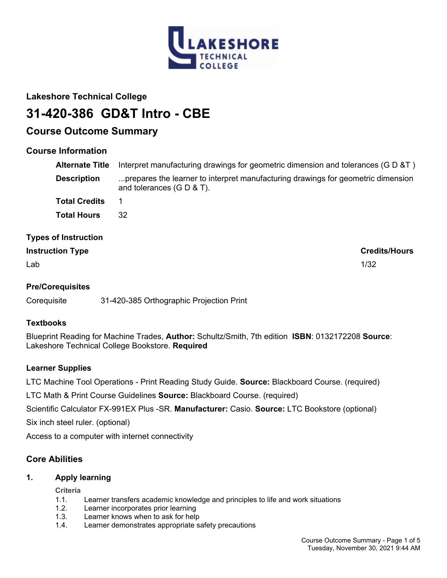

# **Lakeshore Technical College**

# **31-420-386 GD&T Intro - CBE**

# **Course Outcome Summary**

# **Course Information**

| <b>Alternate Title</b><br><b>Description</b> | Interpret manufacturing drawings for geometric dimension and tolerances (G D &T)<br>prepares the learner to interpret manufacturing drawings for geometric dimension<br>and tolerances $(G D & T)$ . |
|----------------------------------------------|------------------------------------------------------------------------------------------------------------------------------------------------------------------------------------------------------|
| <b>Total Credits</b>                         | 1                                                                                                                                                                                                    |
| <b>Total Hours</b>                           | 32                                                                                                                                                                                                   |
| <b>Types of Instruction</b>                  |                                                                                                                                                                                                      |
| <b>Instruction Type</b>                      | <b>Credits/Hours</b>                                                                                                                                                                                 |

 $\mathsf{Lab}$  and the contract of the contract of the contract of the contract of the contract of the contract of the contract of the contract of the contract of the contract of the contract of the contract of the contract of

# **Pre/Corequisites**

Corequisite 31-420-385 Orthographic Projection Print

## **Textbooks**

Blueprint Reading for Machine Trades, **Author:** Schultz/Smith, 7th edition **ISBN**: 0132172208 **Source**: Lakeshore Technical College Bookstore. **Required**

# **Learner Supplies**

LTC Machine Tool Operations - Print Reading Study Guide. **Source:** Blackboard Course. (required)

LTC Math & Print Course Guidelines **Source:** Blackboard Course. (required)

Scientific Calculator FX-991EX Plus -SR. **Manufacturer:** Casio. **Source:** LTC Bookstore (optional)

Six inch steel ruler. (optional)

Access to a computer with internet connectivity

# **Core Abilities**

# **1. Apply learning**

**Criteria**

- 1.1. Learner transfers academic knowledge and principles to life and work situations
- 1.2. Learner incorporates prior learning
- 1.3. Learner knows when to ask for help
- 1.4. Learner demonstrates appropriate safety precautions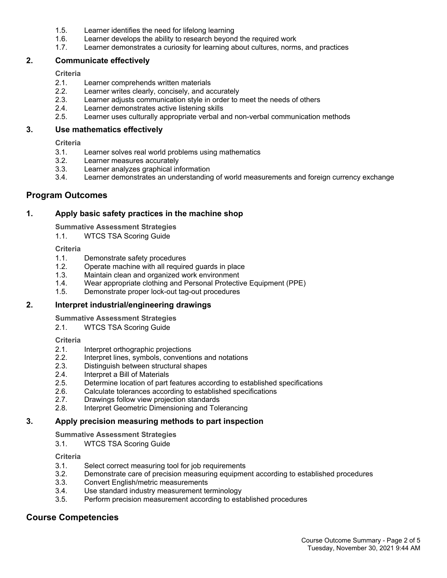- 1.5. Learner identifies the need for lifelong learning
- 1.6. Learner develops the ability to research beyond the required work
- 1.7. Learner demonstrates a curiosity for learning about cultures, norms, and practices

#### **2. Communicate effectively**

#### **Criteria**

- 2.1. Learner comprehends written materials
- 2.2. Learner writes clearly, concisely, and accurately
- 2.3. Learner adjusts communication style in order to meet the needs of others
- 2.4. Learner demonstrates active listening skills
- 2.5. Learner uses culturally appropriate verbal and non-verbal communication methods

#### **3. Use mathematics effectively**

**Criteria**

- 3.1. Learner solves real world problems using mathematics
- 3.2. Learner measures accurately
- 3.3. Learner analyzes graphical information
- 3.4. Learner demonstrates an understanding of world measurements and foreign currency exchange

### **Program Outcomes**

#### **1. Apply basic safety practices in the machine shop**

**Summative Assessment Strategies**

1.1. WTCS TSA Scoring Guide

#### **Criteria**

- 1.1. Demonstrate safety procedures
- 1.2. Operate machine with all required guards in place
- 1.3. Maintain clean and organized work environment
- 1.4. Wear appropriate clothing and Personal Protective Equipment (PPE)
- 1.5. Demonstrate proper lock-out tag-out procedures

#### **2. Interpret industrial/engineering drawings**

**Summative Assessment Strategies**

2.1. WTCS TSA Scoring Guide

#### **Criteria**

- 2.1. Interpret orthographic projections<br>2.2. Interpret lines, symbols, convention
- Interpret lines, symbols, conventions and notations
- 2.3. Distinguish between structural shapes
- 2.4. Interpret a Bill of Materials
- 2.5. Determine location of part features according to established specifications
- 2.6. Calculate tolerances according to established specifications
- 2.7. Drawings follow view projection standards
- 2.8. Interpret Geometric Dimensioning and Tolerancing

#### **3. Apply precision measuring methods to part inspection**

**Summative Assessment Strategies**

3.1. WTCS TSA Scoring Guide

#### **Criteria**

- 3.1. Select correct measuring tool for job requirements
- 3.2. Demonstrate care of precision measuring equipment according to established procedures
- 3.3. Convert English/metric measurements
- 3.4. Use standard industry measurement terminology
- 3.5. Perform precision measurement according to established procedures

# **Course Competencies**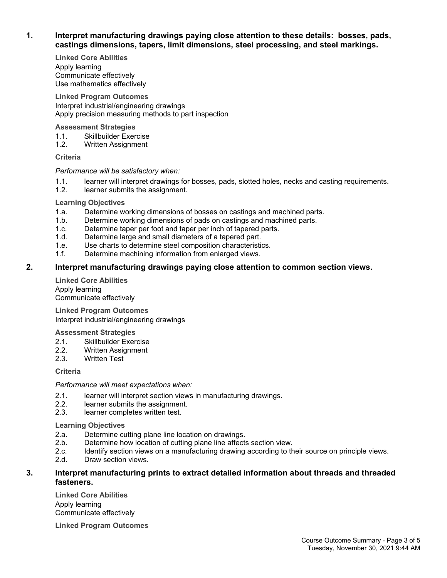#### **1. Interpret manufacturing drawings paying close attention to these details: bosses, pads, castings dimensions, tapers, limit dimensions, steel processing, and steel markings.**

**Linked Core Abilities** Apply learning Communicate effectively Use mathematics effectively

**Linked Program Outcomes** Interpret industrial/engineering drawings Apply precision measuring methods to part inspection

#### **Assessment Strategies**

- 1.1. Skillbuilder Exercise
- 1.2. Written Assignment

#### **Criteria**

#### *Performance will be satisfactory when:*

- 1.1. learner will interpret drawings for bosses, pads, slotted holes, necks and casting requirements.
- 1.2. learner submits the assignment.

#### **Learning Objectives**

- 1.a. Determine working dimensions of bosses on castings and machined parts.
- 1.b. Determine working dimensions of pads on castings and machined parts.
- 1.c. Determine taper per foot and taper per inch of tapered parts.
- 1.d. Determine large and small diameters of a tapered part.
- 1.e. Use charts to determine steel composition characteristics.
- 1.f. Determine machining information from enlarged views.

### **2. Interpret manufacturing drawings paying close attention to common section views.**

**Linked Core Abilities** Apply learning Communicate effectively

**Linked Program Outcomes** Interpret industrial/engineering drawings

#### **Assessment Strategies**

- 2.1. Skillbuilder Exercise
- 2.2. Written Assignment
- 2.3. Written Test

**Criteria**

#### *Performance will meet expectations when:*

- 2.1. learner will interpret section views in manufacturing drawings.<br>2.2. learner submits the assignment.
- learner submits the assignment.
- 2.3. learner completes written test.

#### **Learning Objectives**

- 2.a. Determine cutting plane line location on drawings.
- 2.b. Determine how location of cutting plane line affects section view.
- 2.c. Identify section views on a manufacturing drawing according to their source on principle views.
- 2.d. Draw section views.

#### **3. Interpret manufacturing prints to extract detailed information about threads and threaded fasteners.**

**Linked Core Abilities** Apply learning Communicate effectively

**Linked Program Outcomes**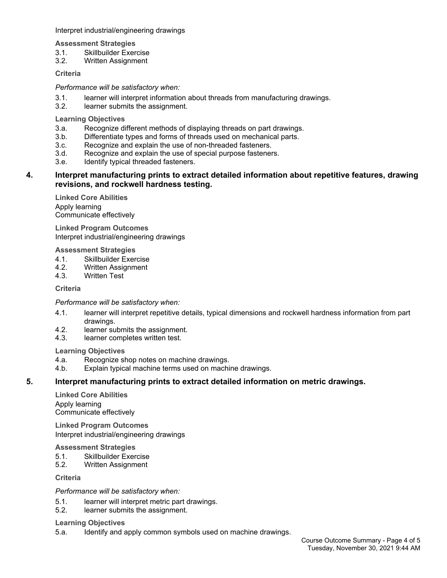Interpret industrial/engineering drawings

**Assessment Strategies**

- 3.1. Skillbuilder Exercise
- 3.2. Written Assignment

**Criteria**

*Performance will be satisfactory when:*

- 3.1. learner will interpret information about threads from manufacturing drawings.
- 3.2. learner submits the assignment.

**Learning Objectives**

- 3.a. Recognize different methods of displaying threads on part drawings.
- 3.b. Differentiate types and forms of threads used on mechanical parts.
- 3.c. Recognize and explain the use of non-threaded fasteners.
- 3.d. Recognize and explain the use of special purpose fasteners.
- 3.e. Identify typical threaded fasteners.

#### **4. Interpret manufacturing prints to extract detailed information about repetitive features, drawing revisions, and rockwell hardness testing.**

**Linked Core Abilities** Apply learning Communicate effectively

**Linked Program Outcomes** Interpret industrial/engineering drawings

#### **Assessment Strategies**

- 4.1. Skillbuilder Exercise
- 4.2. Written Assignment
- 4.3. Written Test

**Criteria**

#### *Performance will be satisfactory when:*

- 4.1. learner will interpret repetitive details, typical dimensions and rockwell hardness information from part drawings.
- 4.2. learner submits the assignment.
- 4.3. learner completes written test.

#### **Learning Objectives**

- 4.a. Recognize shop notes on machine drawings.
- 4.b. Explain typical machine terms used on machine drawings.

#### **5. Interpret manufacturing prints to extract detailed information on metric drawings.**

**Linked Core Abilities** Apply learning Communicate effectively

**Linked Program Outcomes** Interpret industrial/engineering drawings

**Assessment Strategies**

- 5.1. Skillbuilder Exercise
- 5.2. Written Assignment

**Criteria**

#### *Performance will be satisfactory when:*

- 5.1. learner will interpret metric part drawings.
- 5.2. learner submits the assignment.

#### **Learning Objectives**

5.a. Identify and apply common symbols used on machine drawings.